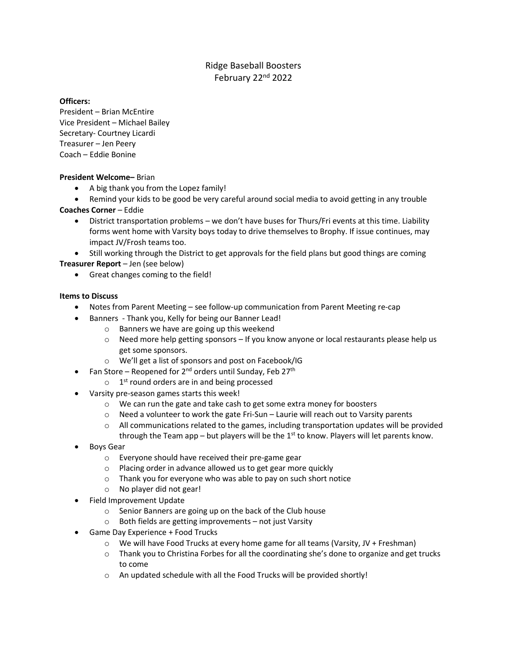# Ridge Baseball Boosters February 22nd 2022

#### **Officers:**

President – Brian McEntire Vice President – Michael Bailey Secretary- Courtney Licardi Treasurer – Jen Peery Coach – Eddie Bonine

#### **President Welcome–** Brian

• A big thank you from the Lopez family!

• Remind your kids to be good be very careful around social media to avoid getting in any trouble **Coaches Corner** – Eddie

• District transportation problems – we don't have buses for Thurs/Fri events at this time. Liability forms went home with Varsity boys today to drive themselves to Brophy. If issue continues, may impact JV/Frosh teams too.

• Still working through the District to get approvals for the field plans but good things are coming **Treasurer Report** – Jen (see below)

• Great changes coming to the field!

### **Items to Discuss**

- Notes from Parent Meeting see follow-up communication from Parent Meeting re-cap
- Banners Thank you, Kelly for being our Banner Lead!
	- o Banners we have are going up this weekend
	- o Need more help getting sponsors If you know anyone or local restaurants please help us get some sponsors.
	- o We'll get a list of sponsors and post on Facebook/IG
- Fan Store Reopened for  $2^{nd}$  orders until Sunday, Feb 27<sup>th</sup>
	- $\circ$  1<sup>st</sup> round orders are in and being processed
- Varsity pre-season games starts this week!
	- o We can run the gate and take cash to get some extra money for boosters
	- $\circ$  Need a volunteer to work the gate Fri-Sun Laurie will reach out to Varsity parents
	- $\circ$  All communications related to the games, including transportation updates will be provided through the Team app – but players will be the  $1<sup>st</sup>$  to know. Players will let parents know.
- Boys Gear
	- o Everyone should have received their pre-game gear
	- o Placing order in advance allowed us to get gear more quickly
	- o Thank you for everyone who was able to pay on such short notice
	- o No player did not gear!
- Field Improvement Update
	- o Senior Banners are going up on the back of the Club house
	- o Both fields are getting improvements not just Varsity
- Game Day Experience + Food Trucks
	- $\circ$  We will have Food Trucks at every home game for all teams (Varsity, JV + Freshman)
	- $\circ$  Thank you to Christina Forbes for all the coordinating she's done to organize and get trucks to come
	- o An updated schedule with all the Food Trucks will be provided shortly!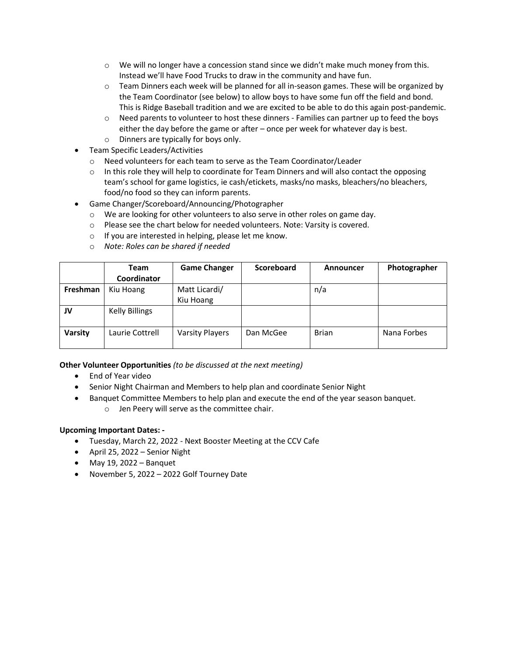- $\circ$  We will no longer have a concession stand since we didn't make much money from this. Instead we'll have Food Trucks to draw in the community and have fun.
- o Team Dinners each week will be planned for all in-season games. These will be organized by the Team Coordinator (see below) to allow boys to have some fun off the field and bond. This is Ridge Baseball tradition and we are excited to be able to do this again post-pandemic.
- o Need parents to volunteer to host these dinners Families can partner up to feed the boys either the day before the game or after – once per week for whatever day is best.
- o Dinners are typically for boys only.
- Team Specific Leaders/Activities
	- o Need volunteers for each team to serve as the Team Coordinator/Leader
	- $\circ$  In this role they will help to coordinate for Team Dinners and will also contact the opposing team's school for game logistics, ie cash/etickets, masks/no masks, bleachers/no bleachers, food/no food so they can inform parents.
- Game Changer/Scoreboard/Announcing/Photographer
	- o We are looking for other volunteers to also serve in other roles on game day.
	- o Please see the chart below for needed volunteers. Note: Varsity is covered.
	- o If you are interested in helping, please let me know.
	- o *Note: Roles can be shared if needed*

|          | Team                  | <b>Game Changer</b>    | <b>Scoreboard</b> | Announcer    | Photographer |
|----------|-----------------------|------------------------|-------------------|--------------|--------------|
|          | Coordinator           |                        |                   |              |              |
| Freshman | Kiu Hoang             | Matt Licardi/          |                   | n/a          |              |
|          |                       | Kiu Hoang              |                   |              |              |
| JV       | <b>Kelly Billings</b> |                        |                   |              |              |
|          |                       |                        |                   |              |              |
| Varsity  | Laurie Cottrell       | <b>Varsity Players</b> | Dan McGee         | <b>Brian</b> | Nana Forbes  |
|          |                       |                        |                   |              |              |

# **Other Volunteer Opportunities** *(to be discussed at the next meeting)*

- End of Year video
- Senior Night Chairman and Members to help plan and coordinate Senior Night
- Banquet Committee Members to help plan and execute the end of the year season banquet. o Jen Peery will serve as the committee chair.

# **Upcoming Important Dates: -**

- Tuesday, March 22, 2022 Next Booster Meeting at the CCV Cafe
- April 25, 2022 Senior Night
- $\bullet$  May 19, 2022 Banquet
- November 5, 2022 2022 Golf Tourney Date